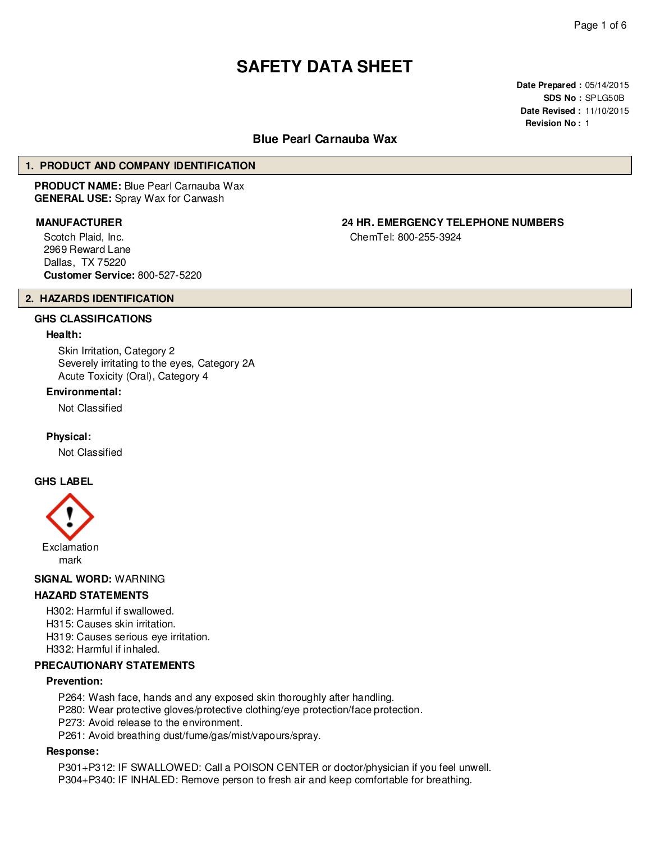# **SAFETY DATA SHEET**

**Date Prepared :** 05/14/2015 **SDS No :** SPLG50B **Date Revised :** 11/10/2015 **Revision No :** 1

## **Blue Pearl Carnauba Wax**

## **1. PRODUCT AND COMPANY IDENTIFICATION**

**PRODUCT NAME:** Blue Pearl Carnauba Wax **GENERAL USE:** Spray Wax for Carwash

Scotch Plaid, Inc. 2969 Reward Lane Dallas, TX 75220 **Customer Service:** 800-527-5220

# **MANUFACTURER 24 HR. EMERGENCY TELEPHONE NUMBERS**

ChemTel: 800-255-3924

## **2. HAZARDS IDENTIFICATION**

## **GHS CLASSIFICATIONS**

## **Health:**

Skin Irritation, Category 2 Severely irritating to the eyes, Category 2A Acute Toxicity (Oral), Category 4

## **Environmental:**

Not Classified

**Physical:**

Not Classified

## **GHS LABEL**



## **SIGNAL WORD:** WARNING

## **HAZARD STATEMENTS**

H302: Harmful if swallowed. H315: Causes skin irritation. H319: Causes serious eye irritation. H332: Harmful if inhaled.

## **PRECAUTIONARY STATEMENTS**

## **Prevention:**

- P264: Wash face, hands and any exposed skin thoroughly after handling.
- P280: Wear protective gloves/protective clothing/eye protection/face protection.
- P273: Avoid release to the environment.
- P261: Avoid breathing dust/fume/gas/mist/vapours/spray.

## **Response:**

P301+P312: IF SWALLOWED: Call a POISON CENTER or doctor/physician if you feel unwell. P304+P340: IF INHALED: Remove person to fresh air and keep comfortable for breathing.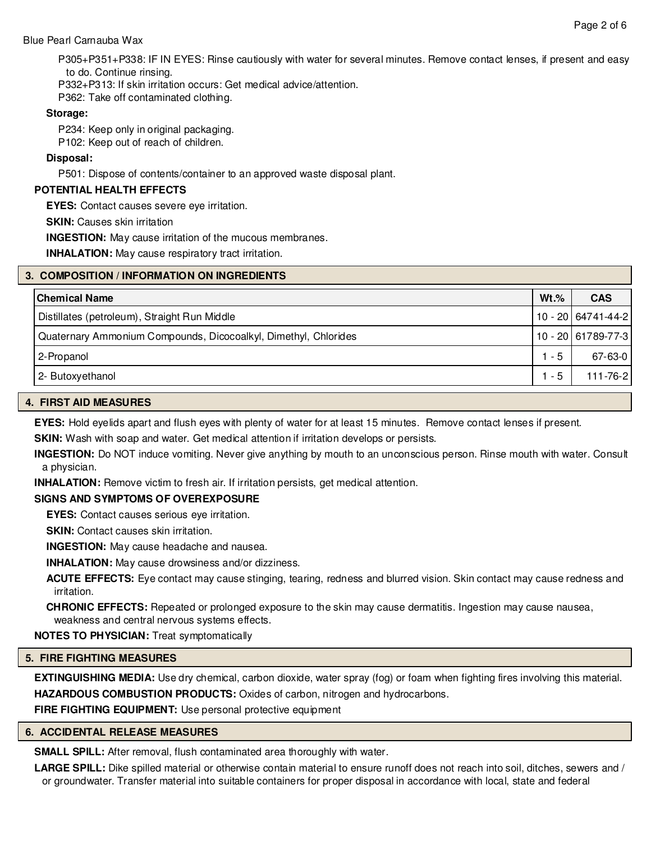## Blue Pearl Carnauba Wax

P305+P351+P338: IF IN EYES: Rinse cautiously with water for several minutes. Remove contact lenses, if present and easy to do. Continue rinsing.

P332+P313: If skin irritation occurs: Get medical advice/attention.

P362: Take off contaminated clothing.

## **Storage:**

P234: Keep only in original packaging. P102: Keep out of reach of children.

## **Disposal:**

P501: Dispose of contents/container to an approved waste disposal plant.

## **POTENTIAL HEALTH EFFECTS**

**EYES:** Contact causes severe eye irritation.

**SKIN: Causes skin irritation** 

**INGESTION:** May cause irritation of the mucous membranes.

**INHALATION:** May cause respiratory tract irritation.

## **3. COMPOSITION / INFORMATION ON INGREDIENTS**

| l Chemical Name                                                 | $Wt.\%$ | <b>CAS</b>           |
|-----------------------------------------------------------------|---------|----------------------|
| Distillates (petroleum), Straight Run Middle                    |         | $10 - 20$ 64741-44-2 |
| Quaternary Ammonium Compounds, Dicocoalkyl, Dimethyl, Chlorides |         | $10 - 20$ 61789-77-3 |
| 2-Propanol                                                      | $1 - 5$ | 67-63-0              |
| 2- Butoxyethanol                                                | $1 - 5$ | $111 - 76 - 2$       |

## **4. FIRST AID MEASURES**

**EYES:** Hold eyelids apart and flush eyes with plenty of water for at least 15 minutes. Remove contact lenses if present.

**SKIN:** Wash with soap and water. Get medical attention if irritation develops or persists.

**INGESTION:** Do NOT induce vomiting. Never give anything by mouth to an unconscious person. Rinse mouth with water. Consult a physician.

**INHALATION:** Remove victim to fresh air. If irritation persists, get medical attention.

## **SIGNS AND SYMPTOMS OF OVEREXPOSURE**

**EYES:** Contact causes serious eye irritation.

**SKIN:** Contact causes skin irritation.

**INGESTION:** May cause headache and nausea.

**INHALATION:** May cause drowsiness and/or dizziness.

**ACUTE EFFECTS:** Eye contact may cause stinging, tearing, redness and blurred vision. Skin contact may cause redness and irritation.

**CHRONIC EFFECTS:** Repeated or prolonged exposure to the skin may cause dermatitis. Ingestion may cause nausea, weakness and central nervous systems effects.

**NOTES TO PHYSICIAN:** Treat symptomatically

## **5. FIRE FIGHTING MEASURES**

**EXTINGUISHING MEDIA:** Use dry chemical, carbon dioxide, water spray (fog) or foam when fighting fires involving this material. **HAZARDOUS COMBUSTION PRODUCTS:** Oxides of carbon, nitrogen and hydrocarbons.

**FIRE FIGHTING EQUIPMENT:** Use personal protective equipment

## **6. ACCIDENTAL RELEASE MEASURES**

**SMALL SPILL:** After removal, flush contaminated area thoroughly with water.

**LARGE SPILL:** Dike spilled material or otherwise contain material to ensure runoff does not reach into soil, ditches, sewers and / or groundwater. Transfer material into suitable containers for proper disposal in accordance with local, state and federal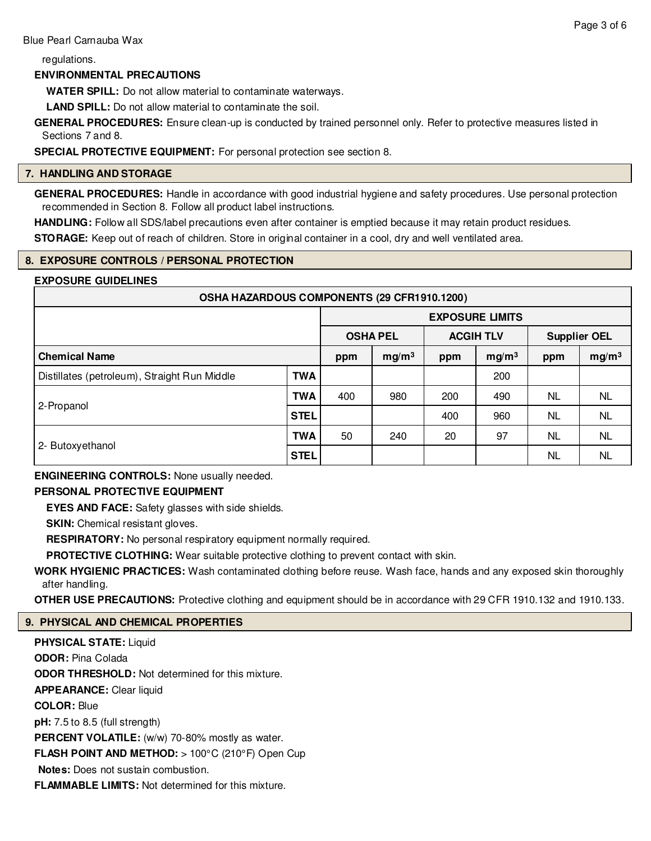regulations.

## **ENVIRONMENTAL PRECAUTIONS**

**WATER SPILL:** Do not allow material to contaminate waterways.

**LAND SPILL:** Do not allow material to contaminate the soil.

**GENERAL PROCEDURES:** Ensure clean-up is conducted by trained personnel only. Refer to protective measures listed in Sections 7 and 8.

**SPECIAL PROTECTIVE EQUIPMENT:** For personal protection see section 8.

## **7. HANDLING AND STORAGE**

**GENERAL PROCEDURES:** Handle in accordance with good industrial hygiene and safety procedures. Use personal protection recommended in Section 8. Follow all product label instructions.

**HANDLING:** Follow all SDS/label precautions even after container is emptied because it may retain product residues. **STORAGE:** Keep out of reach of children. Store in original container in a cool, dry and well ventilated area.

## **8. EXPOSURE CONTROLS / PERSONAL PROTECTION**

## **EXPOSURE GUIDELINES**

| OSHA HAZARDOUS COMPONENTS (29 CFR1910.1200)  |             |                        |                   |                  |                   |                     |                   |
|----------------------------------------------|-------------|------------------------|-------------------|------------------|-------------------|---------------------|-------------------|
|                                              |             | <b>EXPOSURE LIMITS</b> |                   |                  |                   |                     |                   |
|                                              |             | <b>OSHA PEL</b>        |                   | <b>ACGIH TLV</b> |                   | <b>Supplier OEL</b> |                   |
| <b>Chemical Name</b>                         |             | ppm                    | mg/m <sup>3</sup> | ppm              | mg/m <sup>3</sup> | ppm                 | mg/m <sup>3</sup> |
| Distillates (petroleum), Straight Run Middle | <b>TWA</b>  |                        |                   |                  | 200               |                     |                   |
| 2-Propanol                                   | <b>TWA</b>  | 400                    | 980               | 200              | 490               | NL.                 | NL.               |
|                                              | STEL        |                        |                   | 400              | 960               | <b>NL</b>           | <b>NL</b>         |
| 2- Butoxyethanol                             | <b>TWA</b>  | 50                     | 240               | 20               | 97                | NL                  | <b>NL</b>         |
|                                              | <b>STEL</b> |                        |                   |                  |                   | <b>NL</b>           | <b>NL</b>         |

**ENGINEERING CONTROLS:** None usually needed.

## **PERSONAL PROTECTIVE EQUIPMENT**

**EYES AND FACE:** Safety glasses with side shields.

**SKIN:** Chemical resistant gloves.

**RESPIRATORY:** No personal respiratory equipment normally required.

**PROTECTIVE CLOTHING:** Wear suitable protective clothing to prevent contact with skin.

**WORK HYGIENIC PRACTICES:** Wash contaminated clothing before reuse. Wash face, hands and any exposed skin thoroughly after handling.

**OTHER USE PRECAUTIONS:** Protective clothing and equipment should be in accordance with 29 CFR 1910.132 and 1910.133.

## **9. PHYSICAL AND CHEMICAL PROPERTIES**

**PHYSICAL STATE:** Liquid **ODOR:** Pina Colada **ODOR THRESHOLD:** Not determined for this mixture. **APPEARANCE:** Clear liquid **COLOR:** Blue **pH:** 7.5 to 8.5 (full strength) PERCENT VOLATILE: (w/w) 70-80% mostly as water. **FLASH POINT AND METHOD:** > 100°C (210°F) Open Cup **Notes:** Does not sustain combustion. **FLAMMABLE LIMITS:** Not determined for this mixture.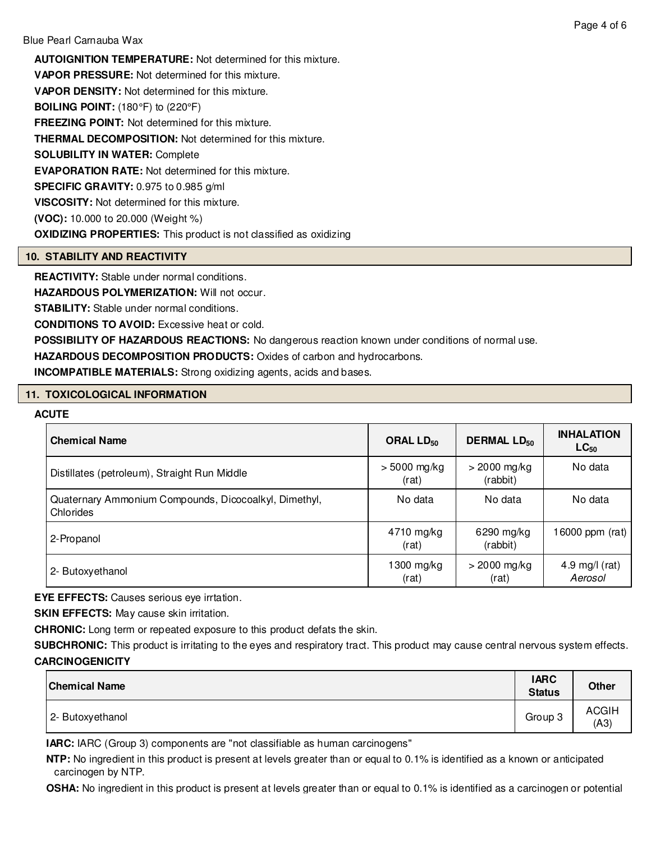**AUTOIGNITION TEMPERATURE:** Not determined for this mixture. **VAPOR PRESSURE:** Not determined for this mixture. **VAPOR DENSITY:** Not determined for this mixture. **BOILING POINT:** (180°F) to (220°F) **FREEZING POINT:** Not determined for this mixture. **THERMAL DECOMPOSITION:** Not determined for this mixture. **SOLUBILITY IN WATER:** Complete **EVAPORATION RATE:** Not determined for this mixture. **SPECIFIC GRAVITY:** 0.975 to 0.985 g/ml **VISCOSITY:** Not determined for this mixture. **(VOC):** 10.000 to 20.000 (Weight %) **OXIDIZING PROPERTIES:** This product is not classified as oxidizing

## **10. STABILITY AND REACTIVITY**

**REACTIVITY:** Stable under normal conditions.

**HAZARDOUS POLYMERIZATION: Will not occur.** 

**STABILITY:** Stable under normal conditions.

**CONDITIONS TO AVOID:** Excessive heat or cold.

**POSSIBILITY OF HAZARDOUS REACTIONS:** No dangerous reaction known under conditions of normal use.

**HAZARDOUS DECOMPOSITION PRODUCTS:** Oxides of carbon and hydrocarbons.

**INCOMPATIBLE MATERIALS:** Strong oxidizing agents, acids and bases.

## **11. TOXICOLOGICAL INFORMATION**

## **ACUTE**

| <b>Chemical Name</b>                                               | ORAL LD <sub>50</sub>   | <b>DERMAL LD<sub>50</sub></b> | <b>INHALATION</b><br>$LC_{50}$ |
|--------------------------------------------------------------------|-------------------------|-------------------------------|--------------------------------|
| Distillates (petroleum), Straight Run Middle                       | $> 5000$ mg/kg<br>(rat) | $>$ 2000 mg/kg<br>(rabbit)    | No data                        |
| Quaternary Ammonium Compounds, Dicocoalkyl, Dimethyl,<br>Chlorides | No data                 | No data                       | No data                        |
| 2-Propanol                                                         | 4710 mg/kg<br>(rat)     | $6290$ mg/kg<br>(rabbit)      | 16000 ppm (rat)                |
| 2- Butoxyethanol                                                   | 1300 mg/kg<br>(rat)     | $>$ 2000 mg/kg<br>(rat)       | 4.9 mg/l $(rat)$<br>Aerosol    |

**EYE EFFECTS:** Causes serious eye irrtation.

**SKIN EFFECTS:** May cause skin irritation.

**CHRONIC:** Long term or repeated exposure to this product defats the skin.

**SUBCHRONIC:** This product is irritating to the eyes and respiratory tract. This product may cause central nervous system effects. **CARCINOGENICITY**

| <b>Chemical Name</b> | <b>IARC</b><br><b>Status</b> | <b>Other</b>         |
|----------------------|------------------------------|----------------------|
| 2- Butoxyethanol     | Group 3                      | <b>ACGIH</b><br>(A3) |

**IARC:** IARC (Group 3) components are "not classifiable as human carcinogens"

**NTP:** No ingredient in this product is present at levels greater than or equal to 0.1% is identified as a known or anticipated carcinogen by NTP.

**OSHA:** No ingredient in this product is present at levels greater than or equal to 0.1% is identified as a carcinogen or potential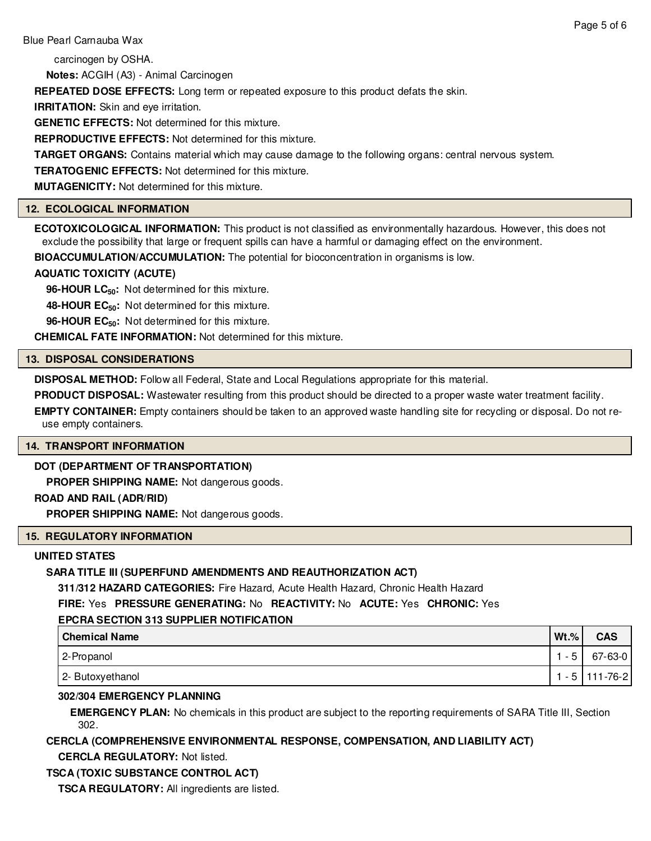carcinogen by OSHA.

**Notes:** ACGIH (A3) - Animal Carcinogen

**REPEATED DOSE EFFECTS:** Long term or repeated exposure to this product defats the skin.

**IRRITATION:** Skin and eye irritation.

**GENETIC EFFECTS:** Not determined for this mixture.

**REPRODUCTIVE EFFECTS:** Not determined for this mixture.

**TARGET ORGANS:** Contains material which may cause damage to the following organs: central nervous system.

**TERATOGENIC EFFECTS:** Not determined for this mixture.

**MUTAGENICITY:** Not determined for this mixture.

## **12. ECOLOGICAL INFORMATION**

**ECOTOXICOLOGICAL INFORMATION:** This product is not classified as environmentally hazardous. However, this does not exclude the possibility that large or frequent spills can have a harmful or damaging effect on the environment.

**BIOACCUMULATION/ACCUMULATION:** The potential for bioconcentration in organisms is low.

## **AQUATIC TOXICITY (ACUTE)**

**96-HOUR LC50:** Not determined for this mixture.

**48-HOUR EC50:** Not determined for this mixture.

**96-HOUR EC50:** Not determined for this mixture.

**CHEMICAL FATE INFORMATION:** Not determined for this mixture.

## **13. DISPOSAL CONSIDERATIONS**

**DISPOSAL METHOD:** Follow all Federal, State and Local Regulations appropriate for this material.

**PRODUCT DISPOSAL:** Wastewater resulting from this product should be directed to a proper waste water treatment facility.

**EMPTY CONTAINER:** Empty containers should be taken to an approved waste handling site for recycling or disposal. Do not reuse empty containers.

## **14. TRANSPORT INFORMATION**

## **DOT (DEPARTMENT OF TRANSPORTATION)**

**PROPER SHIPPING NAME:** Not dangerous goods.

## **ROAD AND RAIL (ADR/RID)**

**PROPER SHIPPING NAME:** Not dangerous goods.

## **15. REGULATORY INFORMATION**

## **UNITED STATES**

## **SARA TITLE III (SUPERFUND AMENDMENTS AND REAUTHORIZATION ACT)**

**311/312 HAZARD CATEGORIES:** Fire Hazard, Acute Health Hazard, Chronic Health Hazard

**FIRE:** Yes **PRESSURE GENERATING:** No **REACTIVITY:** No **ACUTE:** Yes **CHRONIC:** Yes

## **EPCRA SECTION 313 SUPPLIER NOTIFICATION**

| <b>Chemical Name</b> | $Wt.$ % | <b>CAS</b>       |
|----------------------|---------|------------------|
| 2-Propanol           | - 5     | $67 - 63 - 0$    |
| 2- Butoxyethanol     |         | 1 - 5   111-76-2 |

## **302/304 EMERGENCY PLANNING**

**EMERGENCY PLAN:** No chemicals in this product are subject to the reporting requirements of SARA Title III, Section 302.

**CERCLA (COMPREHENSIVE ENVIRONMENTAL RESPONSE, COMPENSATION, AND LIABILITY ACT)**

**CERCLA REGULATORY:** Not listed.

## **TSCA (TOXIC SUBSTANCE CONTROL ACT)**

**TSCA REGULATORY:** All ingredients are listed.